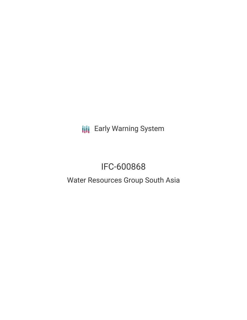**III** Early Warning System

# IFC-600868

## Water Resources Group South Asia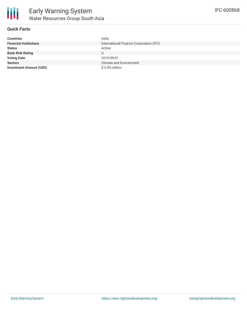

IFC-600868

## **Quick Facts**

| <b>Countries</b>               | India                                   |
|--------------------------------|-----------------------------------------|
| <b>Financial Institutions</b>  | International Finance Corporation (IFC) |
| <b>Status</b>                  | Active                                  |
| <b>Bank Risk Rating</b>        | U                                       |
| <b>Voting Date</b>             | 2015-09-01                              |
| <b>Sectors</b>                 | <b>Climate and Environment</b>          |
| <b>Investment Amount (USD)</b> | \$3.90 million                          |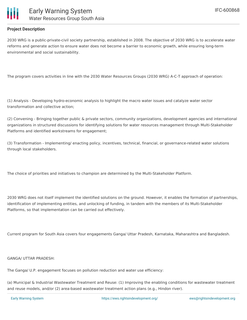

## **Project Description**

2030 WRG is a public-private-civil society partnership, established in 2008. The objective of 2030 WRG is to accelerate water reforms and generate action to ensure water does not become a barrier to economic growth, while ensuring long-term environmental and social sustainability.

The program covers activities in line with the 2030 Water Resources Groups (2030 WRG) A-C-T approach of operation:

(1) Analysis - Developing hydro-economic analysis to highlight the macro water issues and catalyze water sector transformation and collective action;

(2) Convening - Bringing together public & private sectors, community organizations, development agencies and international organizations in structured discussions for identifying solutions for water resources management through Multi-Stakeholder Platforms and identified workstreams for engagement;

(3) Transformation - Implementing/ enacting policy, incentives, technical, financial, or governance-related water solutions through local stakeholders.

The choice of priorities and initiatives to champion are determined by the Multi-Stakeholder Platform.

2030 WRG does not itself implement the identified solutions on the ground. However, it enables the formation of partnerships, identification of implementing entities, and unlocking of funding, in tandem with the members of its Multi-Stakeholder Platforms, so that implementation can be carried out effectively.

Current program for South Asia covers four engagements Ganga/ Uttar Pradesh, Karnataka, Maharashtra and Bangladesh.

#### GANGA/ UTTAR PRADESH:

The Ganga/ U.P. engagement focuses on pollution reduction and water use efficiency:

(a) Municipal & Industrial Wastewater Treatment and Reuse: (1) Improving the enabling conditions for wastewater treatment and reuse models, and/or (2) area-based wastewater treatment action plans (e.g., Hindon river).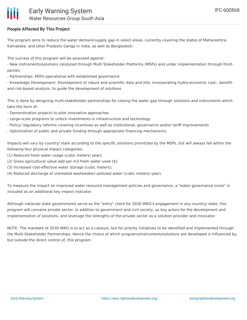## **People Affected By This Project**

The program aims to reduce the water demand-supply gap in select areas, currently covering the states of Maharashtra, Karnataka, and Uttar Pradesh/ Ganga in India, as well as Bangladesh.

The success of this program will be assessed against:

- New instruments/solutions catalyzed through Multi Stakeholder Platforms (MSPs) and under implementation through thirdparties

- Partnerships: MSPs operational with established governance

- Knowledge Development: Development of robust and scientific data and info, incorporating hydro-economic cost-, benefitand risk-based analysis, to guide the development of solutions

This is done by designing multi-stakeholder partnerships for closing the water gap through solutions and instruments which take the form of:

- Demonstration projects to pilot innovative approaches
- Large-scale programs to unlock investments in infrastructure and technology
- Policy/ regulatory reforms covering incentives as well as institutional, governance and/or tariff improvements
- Optimization of public and private funding through appropriate financing mechanisms.

Impacts will vary by country/ state according to the specific solutions prioritized by the MSPs, but will always fall within the following four physical impact categories:

- (1) Reduced fresh water usage (cubic meters/ year);
- (2) Gross agricultural value add per m3 fresh water used (\$);
- (3) Increased cost-effective water storage (cubic meters);
- (4) Reduced discharge of untreated wastewater/ polluted water (cubic meters/ year).

To measure the impact on improved water resource management policies and governance, a "water governance score" is included as an additional key impact indicator.

Although national/ state governments serve as the "entry" client for 2030 WRG's engagement in any country/ state, this program will convene private sector, in addition to government and civil society, as key actors for the development and implementation of solutions, and leverage the strengths of the private sector as a solution provider and innovator.

NOTE: The mandate of 2030 WRG is to act as a catalyst, but for priority initiatives to be identified and implemented through the Multi-Stakeholder Partnerships. Hence the choice of which programs/instruments/solutions are developed is influenced by, but outside the direct control of, this program.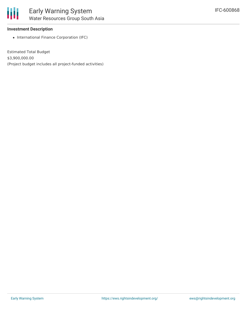

## **Investment Description**

• International Finance Corporation (IFC)

Estimated Total Budget \$3,900,000.00 (Project budget includes all project-funded activities)